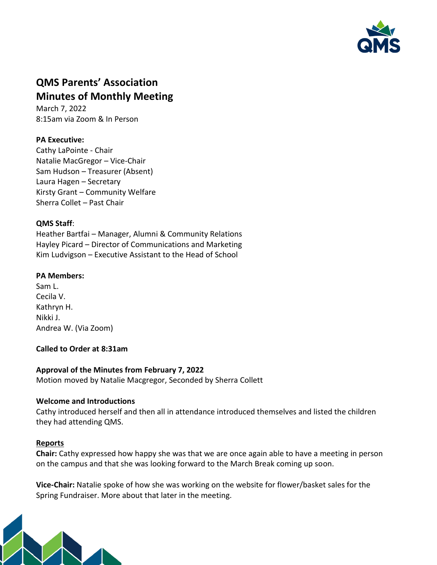

# **QMS Parents' Association Minutes of Monthly Meeting**

March 7, 2022 8:15am via Zoom & In Person

# **PA Executive:**

Cathy LaPointe - Chair Natalie MacGregor – Vice-Chair Sam Hudson – Treasurer (Absent) Laura Hagen – Secretary Kirsty Grant – Community Welfare Sherra Collet – Past Chair

## **QMS Staff**:

Heather Bartfai – Manager, Alumni & Community Relations Hayley Picard – Director of Communications and Marketing Kim Ludvigson – Executive Assistant to the Head of School

## **PA Members:**

Sam L. Cecila V. Kathryn H. Nikki J. Andrea W. (Via Zoom)

#### **Called to Order at 8:31am**

## **Approval of the Minutes from February 7, 2022**

Motion moved by Natalie Macgregor, Seconded by Sherra Collett

#### **Welcome and Introductions**

Cathy introduced herself and then all in attendance introduced themselves and listed the children they had attending QMS.

## **Reports**

**Chair:** Cathy expressed how happy she was that we are once again able to have a meeting in person on the campus and that she was looking forward to the March Break coming up soon.

**Vice-Chair:** Natalie spoke of how she was working on the website for flower/basket sales for the Spring Fundraiser. More about that later in the meeting.

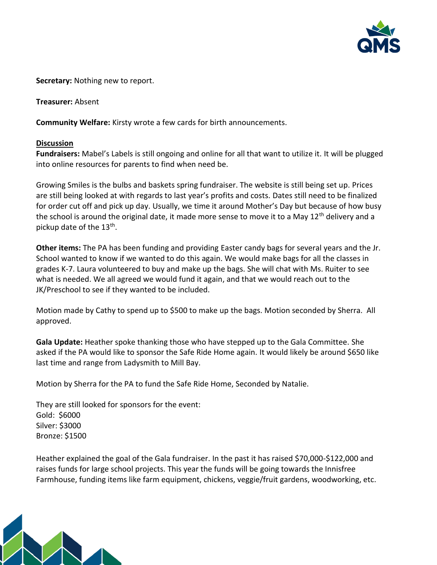

**Secretary:** Nothing new to report.

**Treasurer:** Absent

**Community Welfare:** Kirsty wrote a few cards for birth announcements.

#### **Discussion**

**Fundraisers:** Mabel's Labels is still ongoing and online for all that want to utilize it. It will be plugged into online resources for parents to find when need be.

Growing Smiles is the bulbs and baskets spring fundraiser. The website is still being set up. Prices are still being looked at with regards to last year's profits and costs. Dates still need to be finalized for order cut off and pick up day. Usually, we time it around Mother's Day but because of how busy the school is around the original date, it made more sense to move it to a May 12<sup>th</sup> delivery and a pickup date of the 13<sup>th</sup>.

**Other items:** The PA has been funding and providing Easter candy bags for several years and the Jr. School wanted to know if we wanted to do this again. We would make bags for all the classes in grades K-7. Laura volunteered to buy and make up the bags. She will chat with Ms. Ruiter to see what is needed. We all agreed we would fund it again, and that we would reach out to the JK/Preschool to see if they wanted to be included.

Motion made by Cathy to spend up to \$500 to make up the bags. Motion seconded by Sherra. All approved.

**Gala Update:** Heather spoke thanking those who have stepped up to the Gala Committee. She asked if the PA would like to sponsor the Safe Ride Home again. It would likely be around \$650 like last time and range from Ladysmith to Mill Bay.

Motion by Sherra for the PA to fund the Safe Ride Home, Seconded by Natalie.

They are still looked for sponsors for the event: Gold: \$6000 Silver: \$3000 Bronze: \$1500

Heather explained the goal of the Gala fundraiser. In the past it has raised \$70,000-\$122,000 and raises funds for large school projects. This year the funds will be going towards the Innisfree Farmhouse, funding items like farm equipment, chickens, veggie/fruit gardens, woodworking, etc.